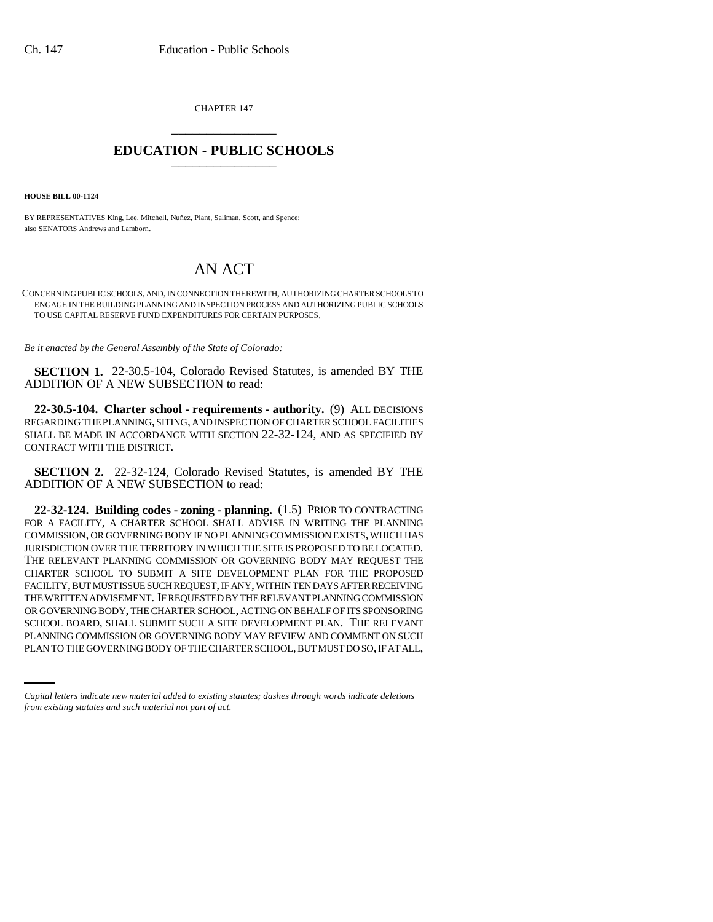CHAPTER 147 \_\_\_\_\_\_\_\_\_\_\_\_\_\_\_

## **EDUCATION - PUBLIC SCHOOLS** \_\_\_\_\_\_\_\_\_\_\_\_\_\_\_

**HOUSE BILL 00-1124** 

BY REPRESENTATIVES King, Lee, Mitchell, Nuñez, Plant, Saliman, Scott, and Spence; also SENATORS Andrews and Lamborn.

## AN ACT

CONCERNING PUBLIC SCHOOLS, AND, IN CONNECTION THEREWITH, AUTHORIZING CHARTER SCHOOLS TO ENGAGE IN THE BUILDING PLANNING AND INSPECTION PROCESS AND AUTHORIZING PUBLIC SCHOOLS TO USE CAPITAL RESERVE FUND EXPENDITURES FOR CERTAIN PURPOSES.

*Be it enacted by the General Assembly of the State of Colorado:*

**SECTION 1.** 22-30.5-104, Colorado Revised Statutes, is amended BY THE ADDITION OF A NEW SUBSECTION to read:

**22-30.5-104. Charter school - requirements - authority.** (9) ALL DECISIONS REGARDING THE PLANNING, SITING, AND INSPECTION OF CHARTER SCHOOL FACILITIES SHALL BE MADE IN ACCORDANCE WITH SECTION 22-32-124, AND AS SPECIFIED BY CONTRACT WITH THE DISTRICT.

**SECTION 2.** 22-32-124, Colorado Revised Statutes, is amended BY THE ADDITION OF A NEW SUBSECTION to read:

SCHOOL BOARD, SHALL SUBMIT SUCH A SITE DEVELOPMENT PLAN. THE RELEVANT **22-32-124. Building codes - zoning - planning.** (1.5) PRIOR TO CONTRACTING FOR A FACILITY, A CHARTER SCHOOL SHALL ADVISE IN WRITING THE PLANNING COMMISSION, OR GOVERNING BODY IF NO PLANNING COMMISSION EXISTS, WHICH HAS JURISDICTION OVER THE TERRITORY IN WHICH THE SITE IS PROPOSED TO BE LOCATED. THE RELEVANT PLANNING COMMISSION OR GOVERNING BODY MAY REQUEST THE CHARTER SCHOOL TO SUBMIT A SITE DEVELOPMENT PLAN FOR THE PROPOSED FACILITY, BUT MUST ISSUE SUCH REQUEST, IF ANY, WITHIN TEN DAYS AFTER RECEIVING THE WRITTEN ADVISEMENT. IF REQUESTED BY THE RELEVANT PLANNING COMMISSION OR GOVERNING BODY, THE CHARTER SCHOOL, ACTING ON BEHALF OF ITS SPONSORING PLANNING COMMISSION OR GOVERNING BODY MAY REVIEW AND COMMENT ON SUCH PLAN TO THE GOVERNING BODY OF THE CHARTER SCHOOL, BUT MUST DO SO, IF AT ALL,

*Capital letters indicate new material added to existing statutes; dashes through words indicate deletions from existing statutes and such material not part of act.*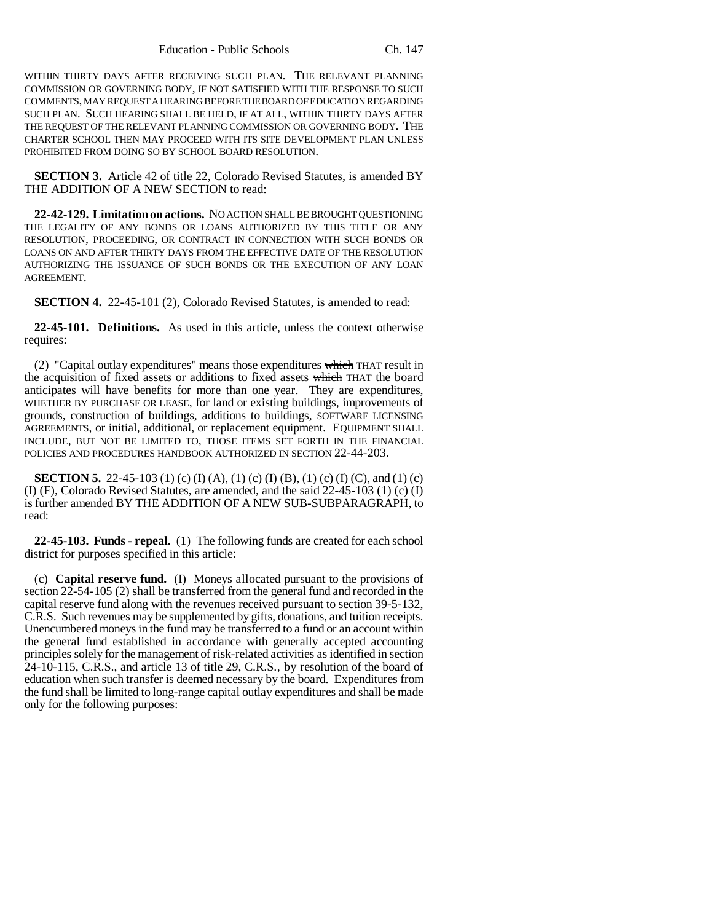WITHIN THIRTY DAYS AFTER RECEIVING SUCH PLAN. THE RELEVANT PLANNING COMMISSION OR GOVERNING BODY, IF NOT SATISFIED WITH THE RESPONSE TO SUCH COMMENTS, MAY REQUEST A HEARING BEFORE THE BOARD OF EDUCATION REGARDING SUCH PLAN. SUCH HEARING SHALL BE HELD, IF AT ALL, WITHIN THIRTY DAYS AFTER THE REQUEST OF THE RELEVANT PLANNING COMMISSION OR GOVERNING BODY. THE CHARTER SCHOOL THEN MAY PROCEED WITH ITS SITE DEVELOPMENT PLAN UNLESS PROHIBITED FROM DOING SO BY SCHOOL BOARD RESOLUTION.

**SECTION 3.** Article 42 of title 22, Colorado Revised Statutes, is amended BY THE ADDITION OF A NEW SECTION to read:

**22-42-129. Limitation on actions.** NO ACTION SHALL BE BROUGHT QUESTIONING THE LEGALITY OF ANY BONDS OR LOANS AUTHORIZED BY THIS TITLE OR ANY RESOLUTION, PROCEEDING, OR CONTRACT IN CONNECTION WITH SUCH BONDS OR LOANS ON AND AFTER THIRTY DAYS FROM THE EFFECTIVE DATE OF THE RESOLUTION AUTHORIZING THE ISSUANCE OF SUCH BONDS OR THE EXECUTION OF ANY LOAN AGREEMENT.

**SECTION 4.** 22-45-101 (2), Colorado Revised Statutes, is amended to read:

**22-45-101. Definitions.** As used in this article, unless the context otherwise requires:

(2) "Capital outlay expenditures" means those expenditures which THAT result in the acquisition of fixed assets or additions to fixed assets which THAT the board anticipates will have benefits for more than one year. They are expenditures, WHETHER BY PURCHASE OR LEASE, for land or existing buildings, improvements of grounds, construction of buildings, additions to buildings, SOFTWARE LICENSING AGREEMENTS, or initial, additional, or replacement equipment. EQUIPMENT SHALL INCLUDE, BUT NOT BE LIMITED TO, THOSE ITEMS SET FORTH IN THE FINANCIAL POLICIES AND PROCEDURES HANDBOOK AUTHORIZED IN SECTION 22-44-203.

**SECTION 5.** 22-45-103 (1) (c) (I) (A), (1) (c) (I) (B), (1) (c) (I) (C), and (1) (c) (I) (F), Colorado Revised Statutes, are amended, and the said 22-45-103 (1) (c) (I) is further amended BY THE ADDITION OF A NEW SUB-SUBPARAGRAPH, to read:

**22-45-103. Funds - repeal.** (1) The following funds are created for each school district for purposes specified in this article:

(c) **Capital reserve fund.** (I) Moneys allocated pursuant to the provisions of section 22-54-105 (2) shall be transferred from the general fund and recorded in the capital reserve fund along with the revenues received pursuant to section 39-5-132, C.R.S. Such revenues may be supplemented by gifts, donations, and tuition receipts. Unencumbered moneys in the fund may be transferred to a fund or an account within the general fund established in accordance with generally accepted accounting principles solely for the management of risk-related activities as identified in section 24-10-115, C.R.S., and article 13 of title 29, C.R.S., by resolution of the board of education when such transfer is deemed necessary by the board. Expenditures from the fund shall be limited to long-range capital outlay expenditures and shall be made only for the following purposes: